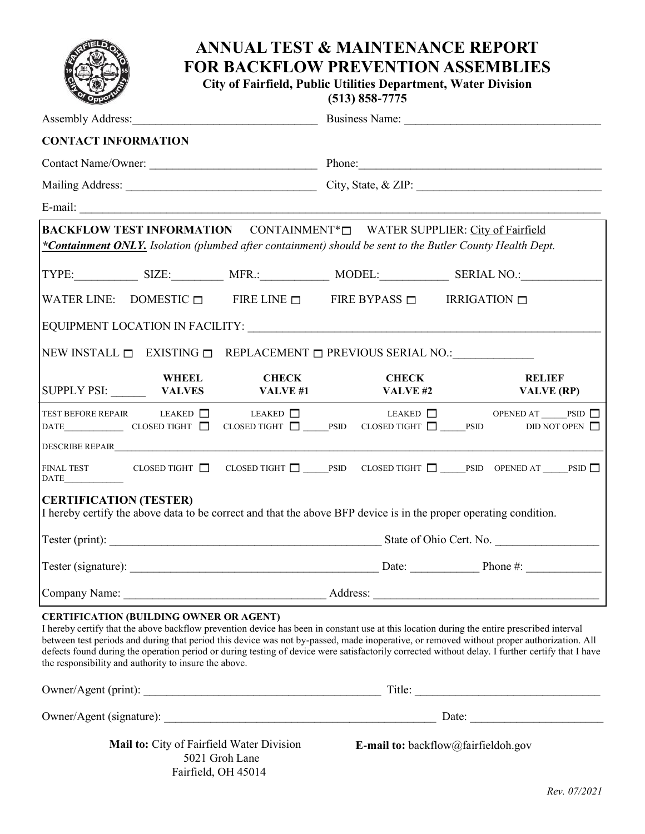## **ANNUAL TEST & MAINTENANCE REPORT FOR BACKFLOW PREVENTION ASSEMBLIES City of Fairfield, Public Utilities Department, Water Division (513) 858-7775** Assembly Address:\_\_\_\_\_\_\_\_\_\_\_\_\_\_\_\_\_\_\_\_\_\_\_\_\_\_\_\_\_\_\_\_ Business Name: \_\_\_\_\_\_\_\_\_\_\_\_\_\_\_\_\_\_\_\_\_\_\_\_\_\_\_\_\_\_\_\_\_\_ **CONTACT INFORMATION** Contact Name/Owner: \_\_\_\_\_\_\_\_\_\_\_\_\_\_\_\_\_\_\_\_\_\_\_\_\_\_\_\_\_ Phone:\_\_\_\_\_\_\_\_\_\_\_\_\_\_\_\_\_\_\_\_\_\_\_\_\_\_\_\_\_\_\_\_\_\_\_\_\_\_\_\_\_\_ Mailing Address: \_\_\_\_\_\_\_\_\_\_\_\_\_\_\_\_\_\_\_\_\_\_\_\_\_\_\_\_\_\_\_\_\_ City, State, & ZIP: \_\_\_\_\_\_\_\_\_\_\_\_\_\_\_\_\_\_\_\_\_\_\_\_\_\_\_\_\_\_\_\_

|                                                                                   | E-mail: $\qquad \qquad$                        |                                                                                                                   |                                                                                   |              |            |                                    |  |
|-----------------------------------------------------------------------------------|------------------------------------------------|-------------------------------------------------------------------------------------------------------------------|-----------------------------------------------------------------------------------|--------------|------------|------------------------------------|--|
|                                                                                   |                                                | BACKFLOW TEST INFORMATION CONTAINMENT* <sup>[]</sup> WATER SUPPLIER: City of Fairfield                            |                                                                                   |              |            |                                    |  |
|                                                                                   |                                                | *Containment ONLY. Isolation (plumbed after containment) should be sent to the Butler County Health Dept.         |                                                                                   |              |            |                                    |  |
|                                                                                   |                                                |                                                                                                                   |                                                                                   |              |            |                                    |  |
|                                                                                   |                                                |                                                                                                                   | WATER LINE: DOMESTIC $\Box$ FIRE LINE $\Box$ FIRE BYPASS $\Box$ IRRIGATION $\Box$ |              |            |                                    |  |
|                                                                                   |                                                |                                                                                                                   |                                                                                   |              |            |                                    |  |
| NEW INSTALL $\Box$ EXISTING $\Box$ REPLACEMENT $\Box$ PREVIOUS SERIAL NO.:        |                                                |                                                                                                                   |                                                                                   |              |            |                                    |  |
|                                                                                   | <b>WHEEL</b>                                   | <b>CHECK</b><br>SUPPLY PSI: VALVES VALVE #1                                                                       |                                                                                   | <b>CHECK</b> | VALVE $#2$ | <b>RELIEF</b><br><b>VALVE (RP)</b> |  |
|                                                                                   |                                                | TEST BEFORE REPAIR LEAKED □ LEAKED □ LEAKED □ LEAKED □ OPENED AT PSID □                                           |                                                                                   |              |            |                                    |  |
|                                                                                   |                                                |                                                                                                                   |                                                                                   |              |            |                                    |  |
| $\begin{tabular}{ c c } \hline \multicolumn{3}{ c }{\textbf{DATE}} \end{tabular}$ |                                                |                                                                                                                   |                                                                                   |              |            |                                    |  |
| <b>CERTIFICATION (TESTER)</b>                                                     |                                                | I hereby certify the above data to be correct and that the above BFP device is in the proper operating condition. |                                                                                   |              |            |                                    |  |
|                                                                                   |                                                |                                                                                                                   |                                                                                   |              |            |                                    |  |
|                                                                                   |                                                |                                                                                                                   |                                                                                   |              |            |                                    |  |
|                                                                                   |                                                |                                                                                                                   |                                                                                   |              |            |                                    |  |
|                                                                                   | <b>CERTIFICATION (BUILDING OWNER OR AGENT)</b> |                                                                                                                   |                                                                                   |              |            |                                    |  |

I hereby certify that the above backflow prevention device has been in constant use at this location during the entire prescribed interval between test periods and during that period this device was not by-passed, made inoperative, or removed without proper authorization. All defects found during the operation period or during testing of device were satisfactorily corrected without delay. I further certify that I have the responsibility and authority to insure the above.

| Owner/Agent (print):                                               | Title:                                     |  |
|--------------------------------------------------------------------|--------------------------------------------|--|
| Owner/Agent (signature):                                           | Date:                                      |  |
| <b>Mail to:</b> City of Fairfield Water Division<br>5021 Groh Lane | <b>E-mail to:</b> backflow@fairfieldoh.gov |  |

Fairfield, OH 45014